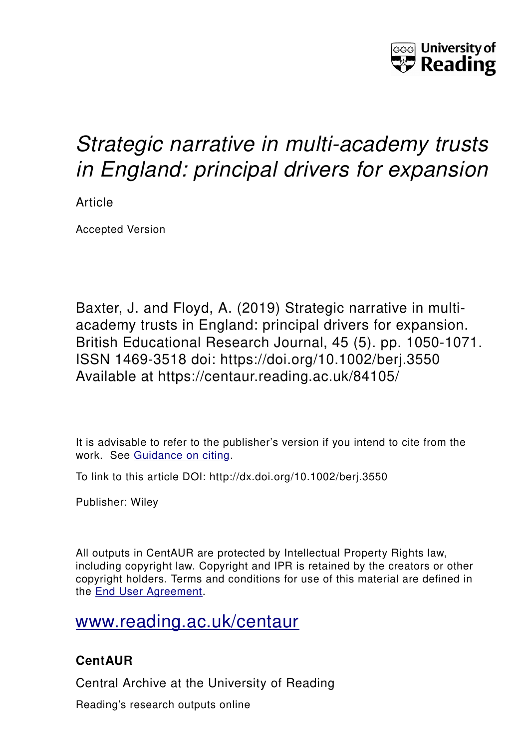

# *Strategic narrative in multi-academy trusts in England: principal drivers for expansion*

Article

Accepted Version

Baxter, J. and Floyd, A. (2019) Strategic narrative in multiacademy trusts in England: principal drivers for expansion. British Educational Research Journal, 45 (5). pp. 1050-1071. ISSN 1469-3518 doi: https://doi.org/10.1002/berj.3550 Available at https://centaur.reading.ac.uk/84105/

It is advisable to refer to the publisher's version if you intend to cite from the work. See [Guidance on citing.](http://centaur.reading.ac.uk/71187/10/CentAUR%20citing%20guide.pdf)

To link to this article DOI: http://dx.doi.org/10.1002/berj.3550

Publisher: Wiley

All outputs in CentAUR are protected by Intellectual Property Rights law, including copyright law. Copyright and IPR is retained by the creators or other copyright holders. Terms and conditions for use of this material are defined in the [End User Agreement.](http://centaur.reading.ac.uk/licence)

# [www.reading.ac.uk/centaur](http://www.reading.ac.uk/centaur)

# **CentAUR**

Central Archive at the University of Reading

Reading's research outputs online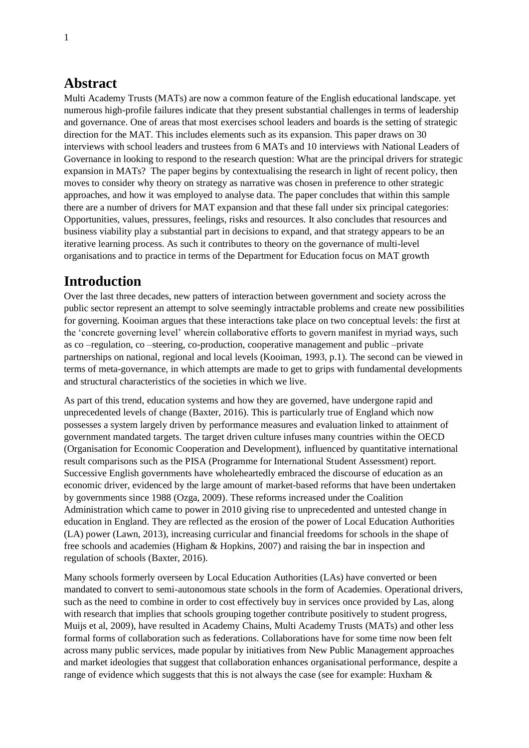### **Abstract**

Multi Academy Trusts (MATs) are now a common feature of the English educational landscape. yet numerous high-profile failures indicate that they present substantial challenges in terms of leadership and governance. One of areas that most exercises school leaders and boards is the setting of strategic direction for the MAT. This includes elements such as its expansion. This paper draws on 30 interviews with school leaders and trustees from 6 MATs and 10 interviews with National Leaders of Governance in looking to respond to the research question: What are the principal drivers for strategic expansion in MATs? The paper begins by contextualising the research in light of recent policy, then moves to consider why theory on strategy as narrative was chosen in preference to other strategic approaches, and how it was employed to analyse data. The paper concludes that within this sample there are a number of drivers for MAT expansion and that these fall under six principal categories: Opportunities, values, pressures, feelings, risks and resources. It also concludes that resources and business viability play a substantial part in decisions to expand, and that strategy appears to be an iterative learning process. As such it contributes to theory on the governance of multi-level organisations and to practice in terms of the Department for Education focus on MAT growth

### **Introduction**

Over the last three decades, new patters of interaction between government and society across the public sector represent an attempt to solve seemingly intractable problems and create new possibilities for governing. Kooiman argues that these interactions take place on two conceptual levels: the first at the 'concrete governing level' wherein collaborative efforts to govern manifest in myriad ways, such as co –regulation, co –steering, co-production, cooperative management and public –private partnerships on national, regional and local levels (Kooiman, 1993, p.1). The second can be viewed in terms of meta-governance, in which attempts are made to get to grips with fundamental developments and structural characteristics of the societies in which we live.

As part of this trend, education systems and how they are governed, have undergone rapid and unprecedented levels of change (Baxter, 2016). This is particularly true of England which now possesses a system largely driven by performance measures and evaluation linked to attainment of government mandated targets. The target driven culture infuses many countries within the OECD (Organisation for Economic Cooperation and Development), influenced by quantitative international result comparisons such as the PISA (Programme for International Student Assessment) report. Successive English governments have wholeheartedly embraced the discourse of education as an economic driver, evidenced by the large amount of market-based reforms that have been undertaken by governments since 1988 (Ozga, 2009). These reforms increased under the Coalition Administration which came to power in 2010 giving rise to unprecedented and untested change in education in England. They are reflected as the erosion of the power of Local Education Authorities (LA) power (Lawn, 2013), increasing curricular and financial freedoms for schools in the shape of free schools and academies (Higham & Hopkins, 2007) and raising the bar in inspection and regulation of schools (Baxter, 2016).

Many schools formerly overseen by Local Education Authorities (LAs) have converted or been mandated to convert to semi-autonomous state schools in the form of Academies. Operational drivers, such as the need to combine in order to cost effectively buy in services once provided by Las, along with research that implies that schools grouping together contribute positively to student progress, Muijs et al, 2009), have resulted in Academy Chains, Multi Academy Trusts (MATs) and other less formal forms of collaboration such as federations. Collaborations have for some time now been felt across many public services, made popular by initiatives from New Public Management approaches and market ideologies that suggest that collaboration enhances organisational performance, despite a range of evidence which suggests that this is not always the case (see for example: Huxham &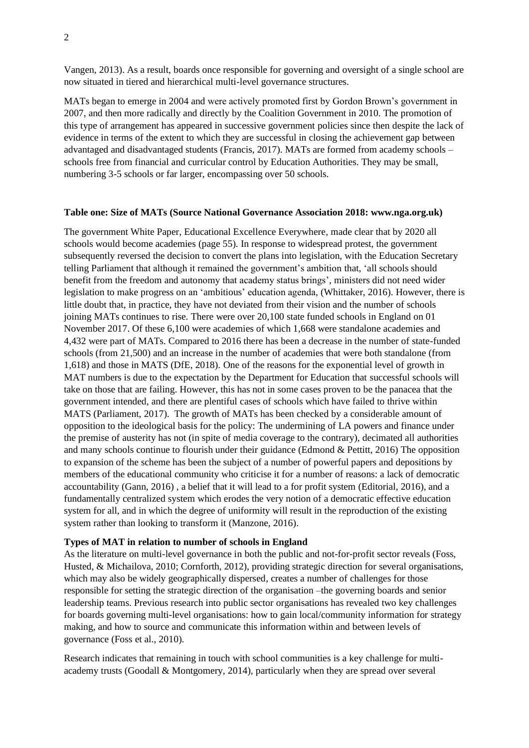Vangen, 2013). As a result, boards once responsible for governing and oversight of a single school are now situated in tiered and hierarchical multi-level governance structures.

MATs began to emerge in 2004 and were actively promoted first by Gordon Brown's government in 2007, and then more radically and directly by the Coalition Government in 2010. The promotion of this type of arrangement has appeared in successive government policies since then despite the lack of evidence in terms of the extent to which they are successful in closing the achievement gap between advantaged and disadvantaged students (Francis, 2017). MATs are formed from academy schools – schools free from financial and curricular control by Education Authorities. They may be small, numbering 3-5 schools or far larger, encompassing over 50 schools.

### **Table one: Size of MATs (Source National Governance Association 2018: www.nga.org.uk)**

The government White Paper, Educational Excellence Everywhere, made clear that by 2020 all schools would become academies (page 55). In response to widespread protest, the government subsequently reversed the decision to convert the plans into legislation, with the Education Secretary telling Parliament that although it remained the government's ambition that, 'all schools should benefit from the freedom and autonomy that academy status brings', ministers did not need wider legislation to make progress on an 'ambitious' education agenda, (Whittaker, 2016). However, there is little doubt that, in practice, they have not deviated from their vision and the number of schools joining MATs continues to rise. There were over 20,100 state funded schools in England on 01 November 2017. Of these 6,100 were academies of which 1,668 were standalone academies and 4,432 were part of MATs. Compared to 2016 there has been a decrease in the number of state-funded schools (from 21,500) and an increase in the number of academies that were both standalone (from 1,618) and those in MATS (DfE, 2018). One of the reasons for the exponential level of growth in MAT numbers is due to the expectation by the Department for Education that successful schools will take on those that are failing. However, this has not in some cases proven to be the panacea that the government intended, and there are plentiful cases of schools which have failed to thrive within MATS (Parliament, 2017). The growth of MATs has been checked by a considerable amount of opposition to the ideological basis for the policy: The undermining of LA powers and finance under the premise of austerity has not (in spite of media coverage to the contrary), decimated all authorities and many schools continue to flourish under their guidance (Edmond & Pettitt, 2016) The opposition to expansion of the scheme has been the subject of a number of powerful papers and depositions by members of the educational community who criticise it for a number of reasons: a lack of democratic accountability (Gann, 2016) , a belief that it will lead to a for profit system (Editorial, 2016), and a fundamentally centralized system which erodes the very notion of a democratic effective education system for all, and in which the degree of uniformity will result in the reproduction of the existing system rather than looking to transform it (Manzone, 2016).

#### **Types of MAT in relation to number of schools in England**

As the literature on multi-level governance in both the public and not-for-profit sector reveals (Foss, Husted, & Michailova, 2010; Cornforth, 2012), providing strategic direction for several organisations, which may also be widely geographically dispersed, creates a number of challenges for those responsible for setting the strategic direction of the organisation –the governing boards and senior leadership teams. Previous research into public sector organisations has revealed two key challenges for boards governing multi-level organisations: how to gain local/community information for strategy making, and how to source and communicate this information within and between levels of governance (Foss et al., 2010).

Research indicates that remaining in touch with school communities is a key challenge for multiacademy trusts (Goodall & Montgomery, 2014), particularly when they are spread over several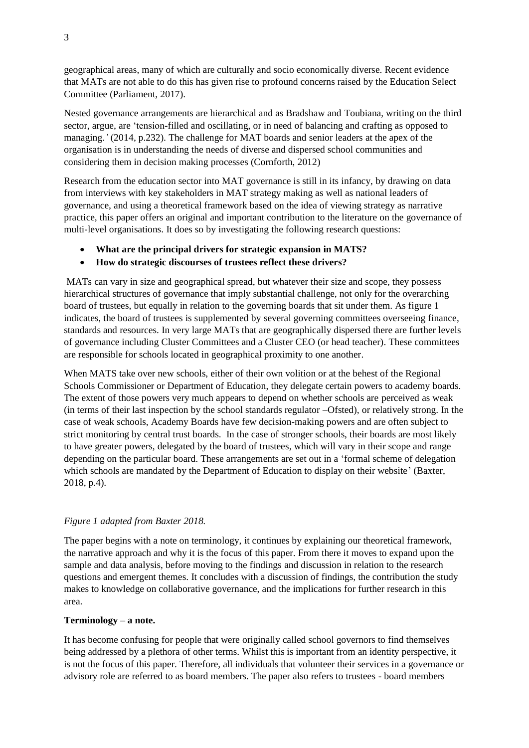geographical areas, many of which are culturally and socio economically diverse. Recent evidence that MATs are not able to do this has given rise to profound concerns raised by the Education Select Committee (Parliament, 2017).

Nested governance arrangements are hierarchical and as Bradshaw and Toubiana, writing on the third sector, argue, are 'tension-filled and oscillating, or in need of balancing and crafting as opposed to managing.*'* (2014, p.232). The challenge for MAT boards and senior leaders at the apex of the organisation is in understanding the needs of diverse and dispersed school communities and considering them in decision making processes (Cornforth, 2012)

Research from the education sector into MAT governance is still in its infancy, by drawing on data from interviews with key stakeholders in MAT strategy making as well as national leaders of governance, and using a theoretical framework based on the idea of viewing strategy as narrative practice, this paper offers an original and important contribution to the literature on the governance of multi-level organisations. It does so by investigating the following research questions:

- **What are the principal drivers for strategic expansion in MATS?**
- **How do strategic discourses of trustees reflect these drivers?**

MATs can vary in size and geographical spread, but whatever their size and scope, they possess hierarchical structures of governance that imply substantial challenge, not only for the overarching board of trustees, but equally in relation to the governing boards that sit under them. As figure 1 indicates, the board of trustees is supplemented by several governing committees overseeing finance, standards and resources. In very large MATs that are geographically dispersed there are further levels of governance including Cluster Committees and a Cluster CEO (or head teacher). These committees are responsible for schools located in geographical proximity to one another.

When MATS take over new schools, either of their own volition or at the behest of the Regional Schools Commissioner or Department of Education, they delegate certain powers to academy boards. The extent of those powers very much appears to depend on whether schools are perceived as weak (in terms of their last inspection by the school standards regulator –Ofsted), or relatively strong. In the case of weak schools, Academy Boards have few decision-making powers and are often subject to strict monitoring by central trust boards. In the case of stronger schools, their boards are most likely to have greater powers, delegated by the board of trustees, which will vary in their scope and range depending on the particular board. These arrangements are set out in a 'formal scheme of delegation which schools are mandated by the Department of Education to display on their website' (Baxter, 2018, p.4).

#### *Figure 1 adapted from Baxter 2018.*

The paper begins with a note on terminology, it continues by explaining our theoretical framework, the narrative approach and why it is the focus of this paper. From there it moves to expand upon the sample and data analysis, before moving to the findings and discussion in relation to the research questions and emergent themes. It concludes with a discussion of findings, the contribution the study makes to knowledge on collaborative governance, and the implications for further research in this area.

#### **Terminology – a note.**

It has become confusing for people that were originally called school governors to find themselves being addressed by a plethora of other terms. Whilst this is important from an identity perspective, it is not the focus of this paper. Therefore, all individuals that volunteer their services in a governance or advisory role are referred to as board members. The paper also refers to trustees - board members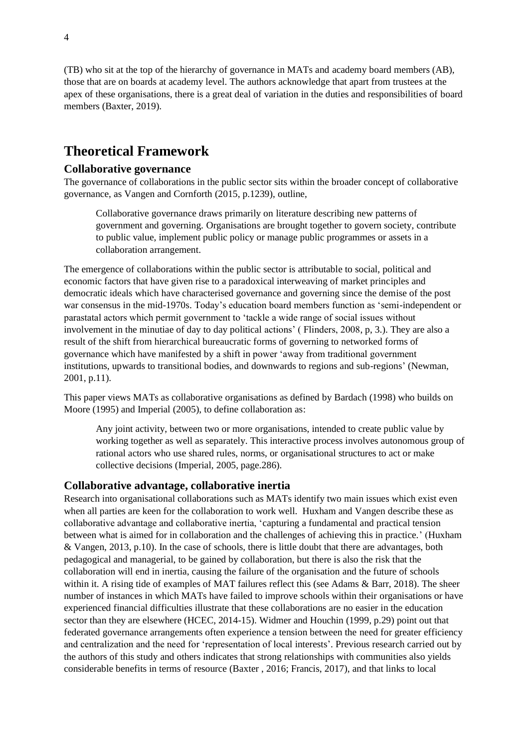(TB) who sit at the top of the hierarchy of governance in MATs and academy board members (AB), those that are on boards at academy level. The authors acknowledge that apart from trustees at the apex of these organisations, there is a great deal of variation in the duties and responsibilities of board members (Baxter, 2019).

### **Theoretical Framework**

### **Collaborative governance**

The governance of collaborations in the public sector sits within the broader concept of collaborative governance, as Vangen and Cornforth (2015, p.1239), outline,

Collaborative governance draws primarily on literature describing new patterns of government and governing. Organisations are brought together to govern society, contribute to public value, implement public policy or manage public programmes or assets in a collaboration arrangement.

The emergence of collaborations within the public sector is attributable to social, political and economic factors that have given rise to a paradoxical interweaving of market principles and democratic ideals which have characterised governance and governing since the demise of the post war consensus in the mid-1970s. Today's education board members function as 'semi-independent or parastatal actors which permit government to 'tackle a wide range of social issues without involvement in the minutiae of day to day political actions' ( Flinders, 2008, p, 3.). They are also a result of the shift from hierarchical bureaucratic forms of governing to networked forms of governance which have manifested by a shift in power 'away from traditional government institutions, upwards to transitional bodies, and downwards to regions and sub-regions' (Newman, 2001, p.11).

This paper views MATs as collaborative organisations as defined by Bardach (1998) who builds on Moore (1995) and Imperial (2005), to define collaboration as:

Any joint activity, between two or more organisations, intended to create public value by working together as well as separately. This interactive process involves autonomous group of rational actors who use shared rules, norms, or organisational structures to act or make collective decisions (Imperial, 2005, page.286).

#### **Collaborative advantage, collaborative inertia**

Research into organisational collaborations such as MATs identify two main issues which exist even when all parties are keen for the collaboration to work well. Huxham and Vangen describe these as collaborative advantage and collaborative inertia, 'capturing a fundamental and practical tension between what is aimed for in collaboration and the challenges of achieving this in practice.' (Huxham & Vangen, 2013, p.10). In the case of schools, there is little doubt that there are advantages, both pedagogical and managerial, to be gained by collaboration, but there is also the risk that the collaboration will end in inertia, causing the failure of the organisation and the future of schools within it. A rising tide of examples of MAT failures reflect this (see Adams & Barr, 2018). The sheer number of instances in which MATs have failed to improve schools within their organisations or have experienced financial difficulties illustrate that these collaborations are no easier in the education sector than they are elsewhere (HCEC, 2014-15). Widmer and Houchin (1999, p.29) point out that federated governance arrangements often experience a tension between the need for greater efficiency and centralization and the need for 'representation of local interests'. Previous research carried out by the authors of this study and others indicates that strong relationships with communities also yields considerable benefits in terms of resource (Baxter , 2016; Francis, 2017), and that links to local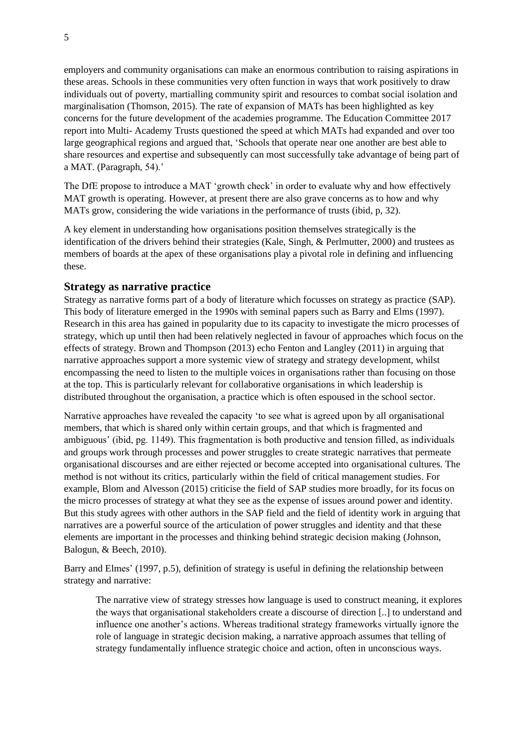employers and community organisations can make an enormous contribution to raising aspirations in these areas. Schools in these communities very often function in ways that work positively to draw individuals out of poverty, martialling community spirit and resources to combat social isolation and marginalisation (Thomson, 2015). The rate of expansion of MATs has been highlighted as key concerns for the future development of the academies programme. The Education Committee 2017 report into Multi- Academy Trusts questioned the speed at which MATs had expanded and over too large geographical regions and argued that, 'Schools that operate near one another are best able to share resources and expertise and subsequently can most successfully take advantage of being part of a MAT. (Paragraph, 54).'

The DfE propose to introduce a MAT 'growth check' in order to evaluate why and how effectively MAT growth is operating. However, at present there are also grave concerns as to how and why MATs grow, considering the wide variations in the performance of trusts (ibid, p, 32).

A key element in understanding how organisations position themselves strategically is the identification of the drivers behind their strategies (Kale, Singh, & Perlmutter, 2000) and trustees as members of boards at the apex of these organisations play a pivotal role in defining and influencing these.

#### **Strategy as narrative practice**

Strategy as narrative forms part of a body of literature which focusses on strategy as practice (SAP). This body of literature emerged in the 1990s with seminal papers such as Barry and Elms (1997). Research in this area has gained in popularity due to its capacity to investigate the micro processes of strategy, which up until then had been relatively neglected in favour of approaches which focus on the effects of strategy. Brown and Thompson (2013) echo Fenton and Langley (2011) in arguing that narrative approaches support a more systemic view of strategy and strategy development, whilst encompassing the need to listen to the multiple voices in organisations rather than focusing on those at the top. This is particularly relevant for collaborative organisations in which leadership is distributed throughout the organisation, a practice which is often espoused in the school sector.

Narrative approaches have revealed the capacity 'to see what is agreed upon by all organisational members, that which is shared only within certain groups, and that which is fragmented and ambiguous' (ibid, pg. 1149). This fragmentation is both productive and tension filled, as individuals and groups work through processes and power struggles to create strategic narratives that permeate organisational discourses and are either rejected or become accepted into organisational cultures. The method is not without its critics, particularly within the field of critical management studies. For example, Blom and Alvesson (2015) criticise the field of SAP studies more broadly, for its focus on the micro processes of strategy at what they see as the expense of issues around power and identity. But this study agrees with other authors in the SAP field and the field of identity work in arguing that narratives are a powerful source of the articulation of power struggles and identity and that these elements are important in the processes and thinking behind strategic decision making (Johnson, Balogun, & Beech, 2010).

Barry and Elmes' (1997, p.5), definition of strategy is useful in defining the relationship between strategy and narrative:

The narrative view of strategy stresses how language is used to construct meaning, it explores the ways that organisational stakeholders create a discourse of direction [..] to understand and influence one another's actions. Whereas traditional strategy frameworks virtually ignore the role of language in strategic decision making, a narrative approach assumes that telling of strategy fundamentally influence strategic choice and action, often in unconscious ways.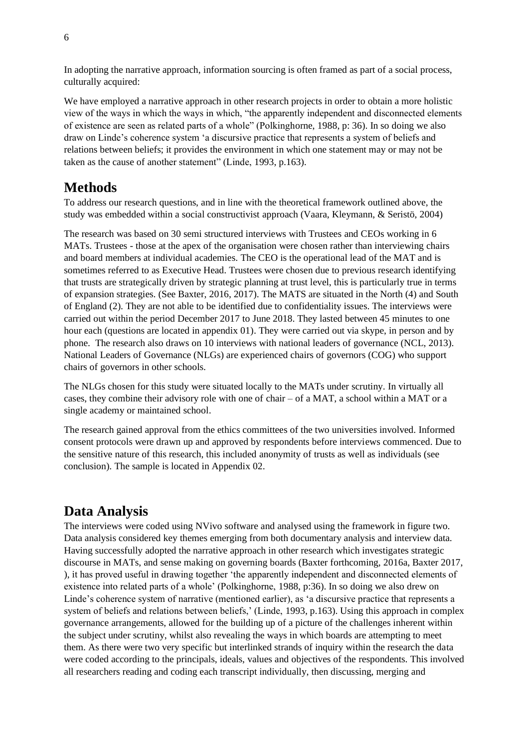In adopting the narrative approach, information sourcing is often framed as part of a social process, culturally acquired:

We have employed a narrative approach in other research projects in order to obtain a more holistic view of the ways in which the ways in which, "the apparently independent and disconnected elements of existence are seen as related parts of a whole" (Polkinghorne, 1988, p: 36). In so doing we also draw on Linde's coherence system 'a discursive practice that represents a system of beliefs and relations between beliefs; it provides the environment in which one statement may or may not be taken as the cause of another statement" (Linde, 1993, p.163).

### **Methods**

To address our research questions, and in line with the theoretical framework outlined above, the study was embedded within a social constructivist approach (Vaara, Kleymann, & Seristö, 2004)

The research was based on 30 semi structured interviews with Trustees and CEOs working in 6 MATs. Trustees - those at the apex of the organisation were chosen rather than interviewing chairs and board members at individual academies. The CEO is the operational lead of the MAT and is sometimes referred to as Executive Head. Trustees were chosen due to previous research identifying that trusts are strategically driven by strategic planning at trust level, this is particularly true in terms of expansion strategies. (See Baxter, 2016, 2017). The MATS are situated in the North (4) and South of England (2). They are not able to be identified due to confidentiality issues. The interviews were carried out within the period December 2017 to June 2018. They lasted between 45 minutes to one hour each (questions are located in appendix 01). They were carried out via skype, in person and by phone. The research also draws on 10 interviews with national leaders of governance (NCL, 2013). National Leaders of Governance (NLGs) are experienced chairs of governors (COG) who support chairs of governors in other schools.

The NLGs chosen for this study were situated locally to the MATs under scrutiny. In virtually all cases, they combine their advisory role with one of chair – of a MAT, a school within a MAT or a single academy or maintained school.

The research gained approval from the ethics committees of the two universities involved. Informed consent protocols were drawn up and approved by respondents before interviews commenced. Due to the sensitive nature of this research, this included anonymity of trusts as well as individuals (see conclusion). The sample is located in Appendix 02.

# **Data Analysis**

The interviews were coded using NVivo software and analysed using the framework in figure two. Data analysis considered key themes emerging from both documentary analysis and interview data. Having successfully adopted the narrative approach in other research which investigates strategic discourse in MATs, and sense making on governing boards (Baxter forthcoming, 2016a, Baxter 2017, ), it has proved useful in drawing together 'the apparently independent and disconnected elements of existence into related parts of a whole' (Polkinghorne, 1988, p:36). In so doing we also drew on Linde's coherence system of narrative (mentioned earlier), as 'a discursive practice that represents a system of beliefs and relations between beliefs,' (Linde, 1993, p.163). Using this approach in complex governance arrangements, allowed for the building up of a picture of the challenges inherent within the subject under scrutiny, whilst also revealing the ways in which boards are attempting to meet them. As there were two very specific but interlinked strands of inquiry within the research the data were coded according to the principals, ideals, values and objectives of the respondents. This involved all researchers reading and coding each transcript individually, then discussing, merging and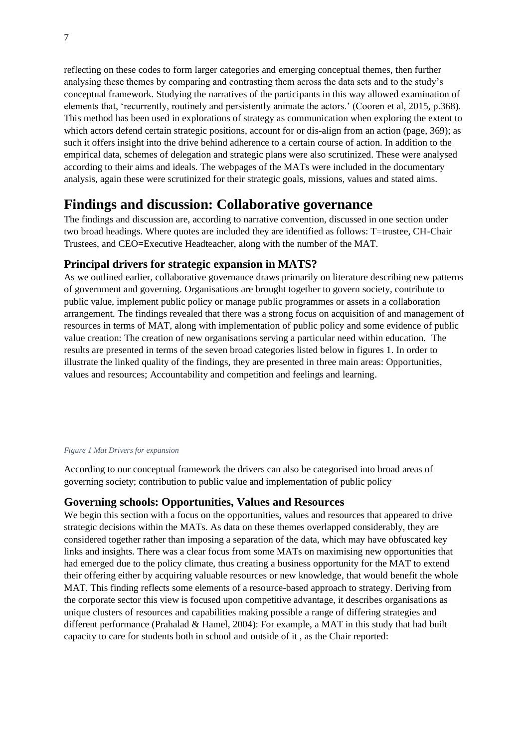reflecting on these codes to form larger categories and emerging conceptual themes, then further analysing these themes by comparing and contrasting them across the data sets and to the study's conceptual framework. Studying the narratives of the participants in this way allowed examination of elements that, 'recurrently, routinely and persistently animate the actors.' (Cooren et al, 2015, p.368). This method has been used in explorations of strategy as communication when exploring the extent to which actors defend certain strategic positions, account for or dis-align from an action (page, 369); as such it offers insight into the drive behind adherence to a certain course of action. In addition to the empirical data, schemes of delegation and strategic plans were also scrutinized. These were analysed according to their aims and ideals. The webpages of the MATs were included in the documentary analysis, again these were scrutinized for their strategic goals, missions, values and stated aims.

### **Findings and discussion: Collaborative governance**

The findings and discussion are, according to narrative convention, discussed in one section under two broad headings. Where quotes are included they are identified as follows: T=trustee, CH-Chair Trustees, and CEO=Executive Headteacher, along with the number of the MAT.

### **Principal drivers for strategic expansion in MATS?**

As we outlined earlier, collaborative governance draws primarily on literature describing new patterns of government and governing. Organisations are brought together to govern society, contribute to public value, implement public policy or manage public programmes or assets in a collaboration arrangement. The findings revealed that there was a strong focus on acquisition of and management of resources in terms of MAT, along with implementation of public policy and some evidence of public value creation: The creation of new organisations serving a particular need within education. The results are presented in terms of the seven broad categories listed below in figures 1. In order to illustrate the linked quality of the findings, they are presented in three main areas: Opportunities, values and resources; Accountability and competition and feelings and learning.

#### *Figure 1 Mat Drivers for expansion*

According to our conceptual framework the drivers can also be categorised into broad areas of governing society; contribution to public value and implementation of public policy

### **Governing schools: Opportunities, Values and Resources**

We begin this section with a focus on the opportunities, values and resources that appeared to drive strategic decisions within the MATs. As data on these themes overlapped considerably, they are considered together rather than imposing a separation of the data, which may have obfuscated key links and insights. There was a clear focus from some MATs on maximising new opportunities that had emerged due to the policy climate, thus creating a business opportunity for the MAT to extend their offering either by acquiring valuable resources or new knowledge, that would benefit the whole MAT. This finding reflects some elements of a resource-based approach to strategy. Deriving from the corporate sector this view is focused upon competitive advantage, it describes organisations as unique clusters of resources and capabilities making possible a range of differing strategies and different performance (Prahalad & Hamel, 2004): For example, a MAT in this study that had built capacity to care for students both in school and outside of it , as the Chair reported: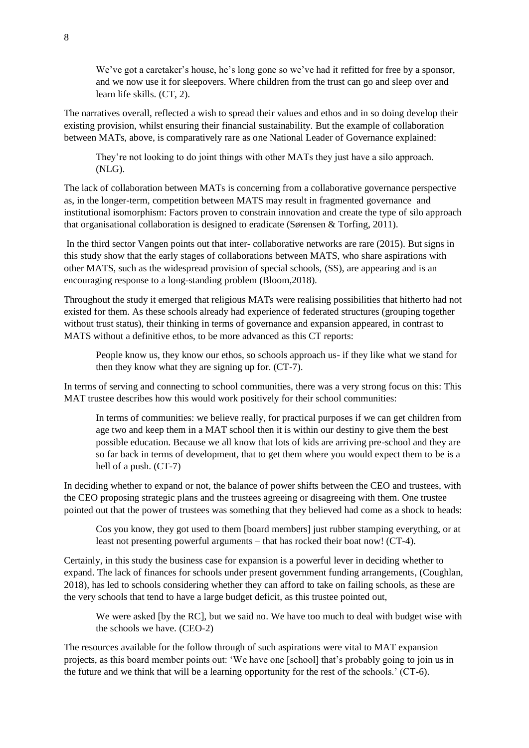We've got a caretaker's house, he's long gone so we've had it refitted for free by a sponsor, and we now use it for sleepovers. Where children from the trust can go and sleep over and learn life skills. (CT, 2).

The narratives overall, reflected a wish to spread their values and ethos and in so doing develop their existing provision, whilst ensuring their financial sustainability. But the example of collaboration between MATs, above, is comparatively rare as one National Leader of Governance explained:

They're not looking to do joint things with other MATs they just have a silo approach. (NLG).

The lack of collaboration between MATs is concerning from a collaborative governance perspective as, in the longer-term, competition between MATS may result in fragmented governance and institutional isomorphism: Factors proven to constrain innovation and create the type of silo approach that organisational collaboration is designed to eradicate (Sørensen & Torfing, 2011).

In the third sector Vangen points out that inter- collaborative networks are rare (2015). But signs in this study show that the early stages of collaborations between MATS, who share aspirations with other MATS, such as the widespread provision of special schools, (SS), are appearing and is an encouraging response to a long-standing problem (Bloom,2018).

Throughout the study it emerged that religious MATs were realising possibilities that hitherto had not existed for them. As these schools already had experience of federated structures (grouping together without trust status), their thinking in terms of governance and expansion appeared, in contrast to MATS without a definitive ethos, to be more advanced as this CT reports:

People know us, they know our ethos, so schools approach us- if they like what we stand for then they know what they are signing up for. (CT-7).

In terms of serving and connecting to school communities, there was a very strong focus on this: This MAT trustee describes how this would work positively for their school communities:

In terms of communities: we believe really, for practical purposes if we can get children from age two and keep them in a MAT school then it is within our destiny to give them the best possible education. Because we all know that lots of kids are arriving pre-school and they are so far back in terms of development, that to get them where you would expect them to be is a hell of a push. (CT-7)

In deciding whether to expand or not, the balance of power shifts between the CEO and trustees, with the CEO proposing strategic plans and the trustees agreeing or disagreeing with them. One trustee pointed out that the power of trustees was something that they believed had come as a shock to heads:

Cos you know, they got used to them [board members] just rubber stamping everything, or at least not presenting powerful arguments – that has rocked their boat now! (CT-4).

Certainly, in this study the business case for expansion is a powerful lever in deciding whether to expand. The lack of finances for schools under present government funding arrangements, (Coughlan, 2018), has led to schools considering whether they can afford to take on failing schools, as these are the very schools that tend to have a large budget deficit, as this trustee pointed out,

We were asked [by the RC], but we said no. We have too much to deal with budget wise with the schools we have. (CEO-2)

The resources available for the follow through of such aspirations were vital to MAT expansion projects, as this board member points out: 'We have one [school] that's probably going to join us in the future and we think that will be a learning opportunity for the rest of the schools.' (CT-6).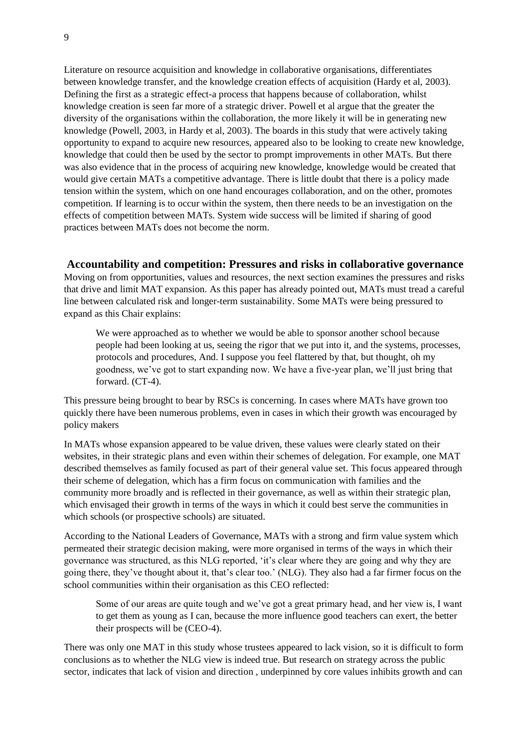Literature on resource acquisition and knowledge in collaborative organisations, differentiates between knowledge transfer, and the knowledge creation effects of acquisition (Hardy et al, 2003). Defining the first as a strategic effect-a process that happens because of collaboration, whilst knowledge creation is seen far more of a strategic driver. Powell et al argue that the greater the diversity of the organisations within the collaboration, the more likely it will be in generating new knowledge (Powell, 2003, in Hardy et al, 2003). The boards in this study that were actively taking opportunity to expand to acquire new resources, appeared also to be looking to create new knowledge, knowledge that could then be used by the sector to prompt improvements in other MATs. But there was also evidence that in the process of acquiring new knowledge, knowledge would be created that would give certain MATs a competitive advantage. There is little doubt that there is a policy made tension within the system, which on one hand encourages collaboration, and on the other, promotes competition. If learning is to occur within the system, then there needs to be an investigation on the effects of competition between MATs. System wide success will be limited if sharing of good practices between MATs does not become the norm.

#### **Accountability and competition: Pressures and risks in collaborative governance**

Moving on from opportunities, values and resources, the next section examines the pressures and risks that drive and limit MAT expansion. As this paper has already pointed out, MATs must tread a careful line between calculated risk and longer-term sustainability. Some MATs were being pressured to expand as this Chair explains:

We were approached as to whether we would be able to sponsor another school because people had been looking at us, seeing the rigor that we put into it, and the systems, processes, protocols and procedures, And. I suppose you feel flattered by that, but thought, oh my goodness, we've got to start expanding now. We have a five-year plan, we'll just bring that forward. (CT-4).

This pressure being brought to bear by RSCs is concerning. In cases where MATs have grown too quickly there have been numerous problems, even in cases in which their growth was encouraged by policy makers

In MATs whose expansion appeared to be value driven, these values were clearly stated on their websites, in their strategic plans and even within their schemes of delegation. For example, one MAT described themselves as family focused as part of their general value set. This focus appeared through their scheme of delegation, which has a firm focus on communication with families and the community more broadly and is reflected in their governance, as well as within their strategic plan, which envisaged their growth in terms of the ways in which it could best serve the communities in which schools (or prospective schools) are situated.

According to the National Leaders of Governance, MATs with a strong and firm value system which permeated their strategic decision making, were more organised in terms of the ways in which their governance was structured, as this NLG reported, 'it's clear where they are going and why they are going there, they've thought about it, that's clear too.' (NLG). They also had a far firmer focus on the school communities within their organisation as this CEO reflected:

Some of our areas are quite tough and we've got a great primary head, and her view is, I want to get them as young as I can, because the more influence good teachers can exert, the better their prospects will be (CEO-4).

There was only one MAT in this study whose trustees appeared to lack vision, so it is difficult to form conclusions as to whether the NLG view is indeed true. But research on strategy across the public sector, indicates that lack of vision and direction , underpinned by core values inhibits growth and can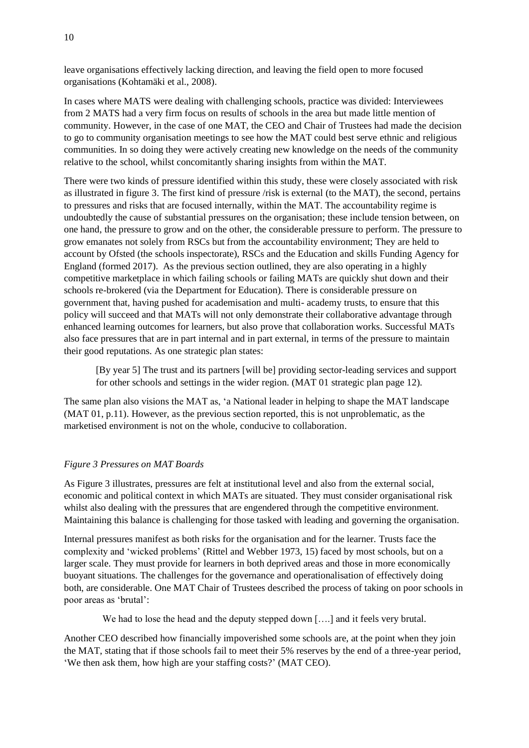leave organisations effectively lacking direction, and leaving the field open to more focused organisations (Kohtamäki et al., 2008).

In cases where MATS were dealing with challenging schools, practice was divided: Interviewees from 2 MATS had a very firm focus on results of schools in the area but made little mention of community. However, in the case of one MAT, the CEO and Chair of Trustees had made the decision to go to community organisation meetings to see how the MAT could best serve ethnic and religious communities. In so doing they were actively creating new knowledge on the needs of the community relative to the school, whilst concomitantly sharing insights from within the MAT.

There were two kinds of pressure identified within this study, these were closely associated with risk as illustrated in figure 3. The first kind of pressure /risk is external (to the MAT), the second, pertains to pressures and risks that are focused internally, within the MAT. The accountability regime is undoubtedly the cause of substantial pressures on the organisation; these include tension between, on one hand, the pressure to grow and on the other, the considerable pressure to perform. The pressure to grow emanates not solely from RSCs but from the accountability environment; They are held to account by Ofsted (the schools inspectorate), RSCs and the Education and skills Funding Agency for England (formed 2017). As the previous section outlined, they are also operating in a highly competitive marketplace in which failing schools or failing MATs are quickly shut down and their schools re-brokered (via the Department for Education). There is considerable pressure on government that, having pushed for academisation and multi- academy trusts, to ensure that this policy will succeed and that MATs will not only demonstrate their collaborative advantage through enhanced learning outcomes for learners, but also prove that collaboration works. Successful MATs also face pressures that are in part internal and in part external, in terms of the pressure to maintain their good reputations. As one strategic plan states:

[By year 5] The trust and its partners [will be] providing sector-leading services and support for other schools and settings in the wider region. (MAT 01 strategic plan page 12).

The same plan also visions the MAT as, 'a National leader in helping to shape the MAT landscape (MAT 01, p.11). However, as the previous section reported, this is not unproblematic, as the marketised environment is not on the whole, conducive to collaboration.

#### *Figure 3 Pressures on MAT Boards*

As Figure 3 illustrates, pressures are felt at institutional level and also from the external social, economic and political context in which MATs are situated. They must consider organisational risk whilst also dealing with the pressures that are engendered through the competitive environment. Maintaining this balance is challenging for those tasked with leading and governing the organisation.

Internal pressures manifest as both risks for the organisation and for the learner. Trusts face the complexity and 'wicked problems' (Rittel and Webber 1973, 15) faced by most schools, but on a larger scale. They must provide for learners in both deprived areas and those in more economically buoyant situations. The challenges for the governance and operationalisation of effectively doing both, are considerable. One MAT Chair of Trustees described the process of taking on poor schools in poor areas as 'brutal':

We had to lose the head and the deputy stepped down [....] and it feels very brutal.

Another CEO described how financially impoverished some schools are, at the point when they join the MAT, stating that if those schools fail to meet their 5% reserves by the end of a three-year period, 'We then ask them, how high are your staffing costs?' (MAT CEO).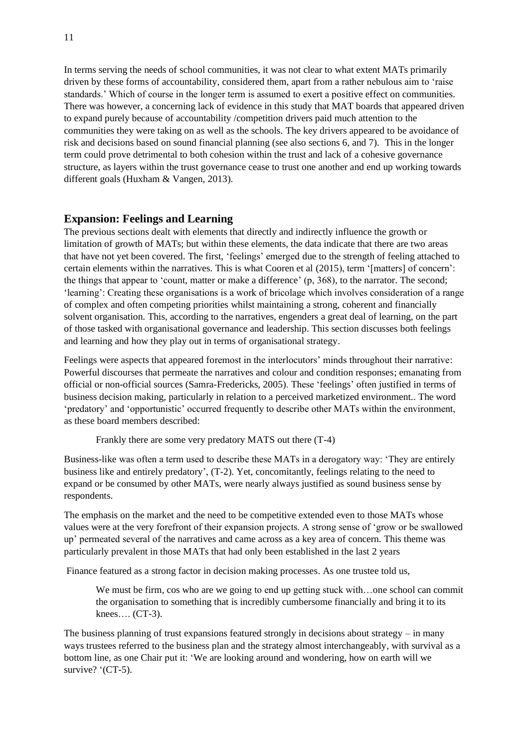In terms serving the needs of school communities, it was not clear to what extent MATs primarily driven by these forms of accountability, considered them, apart from a rather nebulous aim to 'raise standards.' Which of course in the longer term is assumed to exert a positive effect on communities. There was however, a concerning lack of evidence in this study that MAT boards that appeared driven to expand purely because of accountability /competition drivers paid much attention to the communities they were taking on as well as the schools. The key drivers appeared to be avoidance of risk and decisions based on sound financial planning (see also sections 6, and 7). This in the longer term could prove detrimental to both cohesion within the trust and lack of a cohesive governance structure, as layers within the trust governance cease to trust one another and end up working towards different goals (Huxham & Vangen, 2013).

### **Expansion: Feelings and Learning**

The previous sections dealt with elements that directly and indirectly influence the growth or limitation of growth of MATs; but within these elements, the data indicate that there are two areas that have not yet been covered. The first, 'feelings' emerged due to the strength of feeling attached to certain elements within the narratives. This is what Cooren et al (2015), term '[matters] of concern': the things that appear to 'count, matter or make a difference' (p, 368), to the narrator. The second; 'learning': Creating these organisations is a work of bricolage which involves consideration of a range of complex and often competing priorities whilst maintaining a strong, coherent and financially solvent organisation. This, according to the narratives, engenders a great deal of learning, on the part of those tasked with organisational governance and leadership. This section discusses both feelings and learning and how they play out in terms of organisational strategy.

Feelings were aspects that appeared foremost in the interlocutors' minds throughout their narrative: Powerful discourses that permeate the narratives and colour and condition responses; emanating from official or non-official sources (Samra-Fredericks, 2005). These 'feelings' often justified in terms of business decision making, particularly in relation to a perceived marketized environment.. The word 'predatory' and 'opportunistic' occurred frequently to describe other MATs within the environment, as these board members described:

Frankly there are some very predatory MATS out there (T-4)

Business-like was often a term used to describe these MATs in a derogatory way: 'They are entirely business like and entirely predatory', (T-2). Yet, concomitantly, feelings relating to the need to expand or be consumed by other MATs, were nearly always justified as sound business sense by respondents.

The emphasis on the market and the need to be competitive extended even to those MATs whose values were at the very forefront of their expansion projects. A strong sense of 'grow or be swallowed up' permeated several of the narratives and came across as a key area of concern. This theme was particularly prevalent in those MATs that had only been established in the last 2 years

Finance featured as a strong factor in decision making processes. As one trustee told us,

We must be firm, cos who are we going to end up getting stuck with...one school can commit the organisation to something that is incredibly cumbersome financially and bring it to its knees…. (CT-3).

The business planning of trust expansions featured strongly in decisions about strategy  $-$  in many ways trustees referred to the business plan and the strategy almost interchangeably, with survival as a bottom line, as one Chair put it: 'We are looking around and wondering, how on earth will we survive? '(CT-5).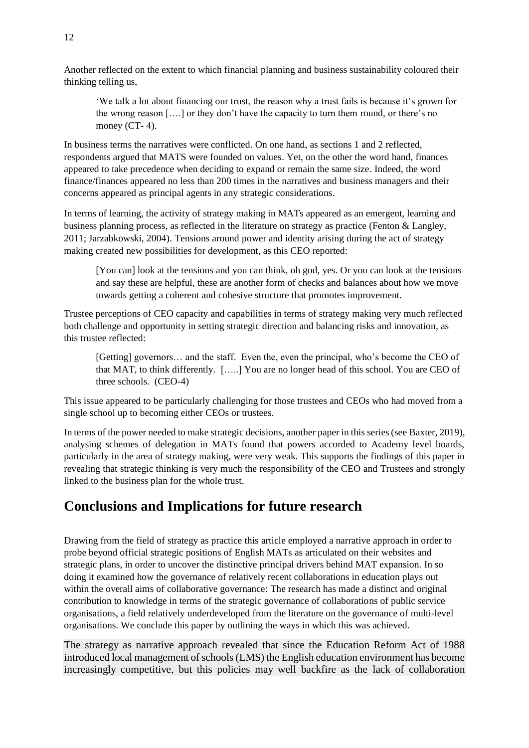Another reflected on the extent to which financial planning and business sustainability coloured their thinking telling us,

'We talk a lot about financing our trust, the reason why a trust fails is because it's grown for the wrong reason [….] or they don't have the capacity to turn them round, or there's no money (CT-4).

In business terms the narratives were conflicted. On one hand, as sections 1 and 2 reflected, respondents argued that MATS were founded on values. Yet, on the other the word hand, finances appeared to take precedence when deciding to expand or remain the same size. Indeed, the word finance/finances appeared no less than 200 times in the narratives and business managers and their concerns appeared as principal agents in any strategic considerations.

In terms of learning, the activity of strategy making in MATs appeared as an emergent, learning and business planning process, as reflected in the literature on strategy as practice (Fenton & Langley, 2011; Jarzabkowski, 2004). Tensions around power and identity arising during the act of strategy making created new possibilities for development, as this CEO reported:

[You can] look at the tensions and you can think, oh god, yes. Or you can look at the tensions and say these are helpful, these are another form of checks and balances about how we move towards getting a coherent and cohesive structure that promotes improvement.

Trustee perceptions of CEO capacity and capabilities in terms of strategy making very much reflected both challenge and opportunity in setting strategic direction and balancing risks and innovation, as this trustee reflected:

[Getting] governors... and the staff. Even the, even the principal, who's become the CEO of that MAT, to think differently. […..] You are no longer head of this school. You are CEO of three schools. (CEO-4)

This issue appeared to be particularly challenging for those trustees and CEOs who had moved from a single school up to becoming either CEOs or trustees.

In terms of the power needed to make strategic decisions, another paper in this series (see Baxter, 2019), analysing schemes of delegation in MATs found that powers accorded to Academy level boards, particularly in the area of strategy making, were very weak. This supports the findings of this paper in revealing that strategic thinking is very much the responsibility of the CEO and Trustees and strongly linked to the business plan for the whole trust.

### **Conclusions and Implications for future research**

Drawing from the field of strategy as practice this article employed a narrative approach in order to probe beyond official strategic positions of English MATs as articulated on their websites and strategic plans, in order to uncover the distinctive principal drivers behind MAT expansion. In so doing it examined how the governance of relatively recent collaborations in education plays out within the overall aims of collaborative governance: The research has made a distinct and original contribution to knowledge in terms of the strategic governance of collaborations of public service organisations, a field relatively underdeveloped from the literature on the governance of multi-level organisations. We conclude this paper by outlining the ways in which this was achieved.

The strategy as narrative approach revealed that since the Education Reform Act of 1988 introduced local management of schools (LMS) the English education environment has become increasingly competitive, but this policies may well backfire as the lack of collaboration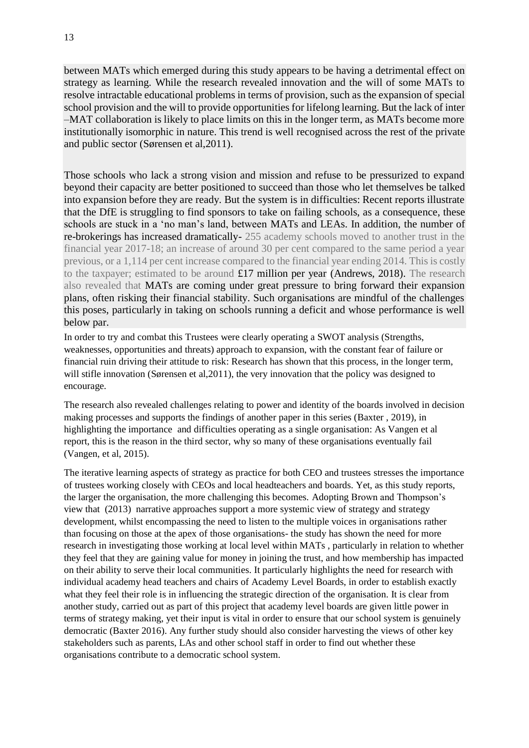between MATs which emerged during this study appears to be having a detrimental effect on strategy as learning. While the research revealed innovation and the will of some MATs to resolve intractable educational problems in terms of provision, such as the expansion of special school provision and the will to provide opportunities for lifelong learning. But the lack of inter –MAT collaboration is likely to place limits on this in the longer term, as MATs become more institutionally isomorphic in nature. This trend is well recognised across the rest of the private and public sector (Sørensen et al,2011).

Those schools who lack a strong vision and mission and refuse to be pressurized to expand beyond their capacity are better positioned to succeed than those who let themselves be talked into expansion before they are ready. But the system is in difficulties: Recent reports illustrate that the DfE is struggling to find sponsors to take on failing schools, as a consequence, these schools are stuck in a 'no man's land, between MATs and LEAs. In addition, the number of re-brokerings has increased dramatically- 255 academy schools moved to another trust in the financial year 2017-18; an increase of around 30 per cent compared to the same period a year previous, or a 1,114 per cent increase compared to the financial year ending 2014. This is costly to the taxpayer; estimated to be around £17 million per year (Andrews, 2018). The research also revealed that MATs are coming under great pressure to bring forward their expansion plans, often risking their financial stability. Such organisations are mindful of the challenges this poses, particularly in taking on schools running a deficit and whose performance is well below par.

In order to try and combat this Trustees were clearly operating a SWOT analysis (Strengths, weaknesses, opportunities and threats) approach to expansion, with the constant fear of failure or financial ruin driving their attitude to risk: Research has shown that this process, in the longer term, will stifle innovation (Sørensen et al, 2011), the very innovation that the policy was designed to encourage.

The research also revealed challenges relating to power and identity of the boards involved in decision making processes and supports the findings of another paper in this series (Baxter , 2019), in highlighting the importance and difficulties operating as a single organisation: As Vangen et al report, this is the reason in the third sector, why so many of these organisations eventually fail (Vangen, et al, 2015).

The iterative learning aspects of strategy as practice for both CEO and trustees stresses the importance of trustees working closely with CEOs and local headteachers and boards. Yet, as this study reports, the larger the organisation, the more challenging this becomes. Adopting Brown and Thompson's view that (2013) narrative approaches support a more systemic view of strategy and strategy development, whilst encompassing the need to listen to the multiple voices in organisations rather than focusing on those at the apex of those organisations- the study has shown the need for more research in investigating those working at local level within MATs , particularly in relation to whether they feel that they are gaining value for money in joining the trust, and how membership has impacted on their ability to serve their local communities. It particularly highlights the need for research with individual academy head teachers and chairs of Academy Level Boards, in order to establish exactly what they feel their role is in influencing the strategic direction of the organisation. It is clear from another study, carried out as part of this project that academy level boards are given little power in terms of strategy making, yet their input is vital in order to ensure that our school system is genuinely democratic (Baxter 2016). Any further study should also consider harvesting the views of other key stakeholders such as parents, LAs and other school staff in order to find out whether these organisations contribute to a democratic school system.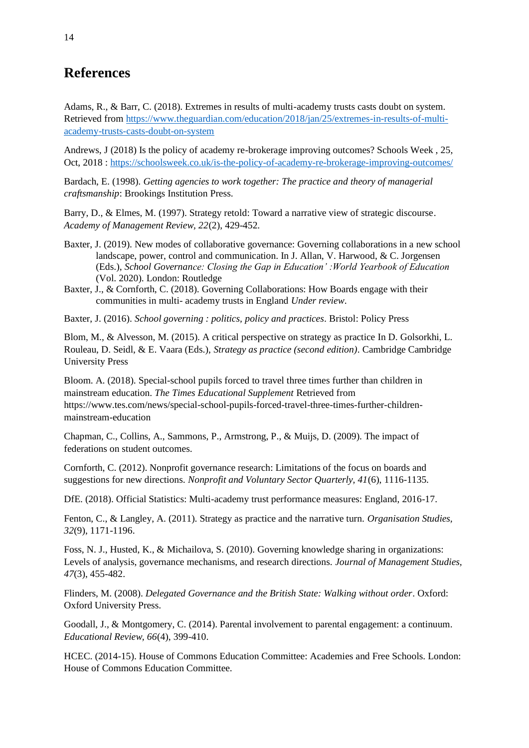### **References**

Adams, R., & Barr, C. (2018). Extremes in results of multi-academy trusts casts doubt on system. Retrieved from [https://www.theguardian.com/education/2018/jan/25/extremes-in-results-of-multi](https://www.theguardian.com/education/2018/jan/25/extremes-in-results-of-multi-academy-trusts-casts-doubt-on-system)[academy-trusts-casts-doubt-on-system](https://www.theguardian.com/education/2018/jan/25/extremes-in-results-of-multi-academy-trusts-casts-doubt-on-system)

Andrews, J (2018) Is the policy of academy re-brokerage improving outcomes? Schools Week , 25, Oct, 2018 : <https://schoolsweek.co.uk/is-the-policy-of-academy-re-brokerage-improving-outcomes/>

Bardach, E. (1998). *Getting agencies to work together: The practice and theory of managerial craftsmanship*: Brookings Institution Press.

Barry, D., & Elmes, M. (1997). Strategy retold: Toward a narrative view of strategic discourse. *Academy of Management Review, 22*(2), 429-452.

- Baxter, J. (2019). New modes of collaborative governance: Governing collaborations in a new school landscape, power, control and communication. In J. Allan, V. Harwood, & C. Jorgensen (Eds.), *School Governance: Closing the Gap in Education' :World Yearbook of Education* (Vol. 2020). London: Routledge
- Baxter, J., & Cornforth, C. (2018). Governing Collaborations: How Boards engage with their communities in multi- academy trusts in England *Under review*.

Baxter, J. (2016). *School governing : politics, policy and practices*. Bristol: Policy Press

Blom, M., & Alvesson, M. (2015). A critical perspective on strategy as practice In D. Golsorkhi, L. Rouleau, D. Seidl, & E. Vaara (Eds.), *Strategy as practice (second edition)*. Cambridge Cambridge University Press

Bloom. A. (2018). Special-school pupils forced to travel three times further than children in mainstream education. *The Times Educational Supplement* Retrieved from https://www.tes.com/news/special-school-pupils-forced-travel-three-times-further-childrenmainstream-education

Chapman, C., Collins, A., Sammons, P., Armstrong, P., & Muijs, D. (2009). The impact of federations on student outcomes.

Cornforth, C. (2012). Nonprofit governance research: Limitations of the focus on boards and suggestions for new directions. *Nonprofit and Voluntary Sector Quarterly, 41*(6), 1116-1135.

DfE. (2018). Official Statistics: Multi-academy trust performance measures: England, 2016-17.

Fenton, C., & Langley, A. (2011). Strategy as practice and the narrative turn. *Organisation Studies, 32*(9), 1171-1196.

Foss, N. J., Husted, K., & Michailova, S. (2010). Governing knowledge sharing in organizations: Levels of analysis, governance mechanisms, and research directions. *Journal of Management Studies, 47*(3), 455-482.

Flinders, M. (2008). *Delegated Governance and the British State: Walking without order*. Oxford: Oxford University Press.

Goodall, J., & Montgomery, C. (2014). Parental involvement to parental engagement: a continuum. *Educational Review, 66*(4), 399-410.

HCEC. (2014-15). House of Commons Education Committee: Academies and Free Schools. London: House of Commons Education Committee.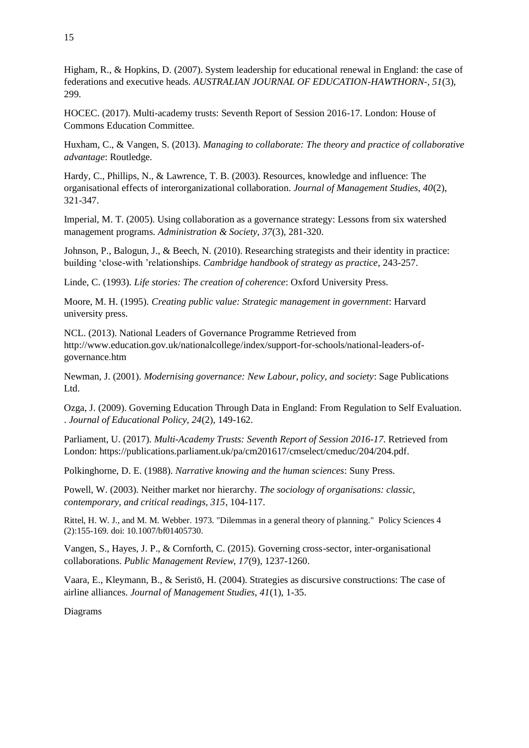Higham, R., & Hopkins, D. (2007). System leadership for educational renewal in England: the case of federations and executive heads. *AUSTRALIAN JOURNAL OF EDUCATION-HAWTHORN-, 51*(3), 299.

HOCEC. (2017). Multi-academy trusts: Seventh Report of Session 2016-17. London: House of Commons Education Committee.

Huxham, C., & Vangen, S. (2013). *Managing to collaborate: The theory and practice of collaborative advantage*: Routledge.

Hardy, C., Phillips, N., & Lawrence, T. B. (2003). Resources, knowledge and influence: The organisational effects of interorganizational collaboration. *Journal of Management Studies, 40*(2), 321-347.

Imperial, M. T. (2005). Using collaboration as a governance strategy: Lessons from six watershed management programs. *Administration & Society, 37*(3), 281-320.

Johnson, P., Balogun, J., & Beech, N. (2010). Researching strategists and their identity in practice: building 'close-with 'relationships. *Cambridge handbook of strategy as practice*, 243-257.

Linde, C. (1993). *Life stories: The creation of coherence*: Oxford University Press.

Moore, M. H. (1995). *Creating public value: Strategic management in government*: Harvard university press.

NCL. (2013). National Leaders of Governance Programme Retrieved from http://www.education.gov.uk/nationalcollege/index/support-for-schools/national-leaders-ofgovernance.htm

Newman, J. (2001). *Modernising governance: New Labour, policy, and society*: Sage Publications Ltd.

Ozga, J. (2009). Governing Education Through Data in England: From Regulation to Self Evaluation. . *Journal of Educational Policy, 24*(2), 149-162.

Parliament, U. (2017). *Multi-Academy Trusts: Seventh Report of Session 2016-17*. Retrieved from London: https://publications.parliament.uk/pa/cm201617/cmselect/cmeduc/204/204.pdf.

Polkinghorne, D. E. (1988). *Narrative knowing and the human sciences*: Suny Press.

Powell, W. (2003). Neither market nor hierarchy. *The sociology of organisations: classic, contemporary, and critical readings, 315*, 104-117.

Rittel, H. W. J., and M. M. Webber. 1973. "Dilemmas in a general theory of planning." Policy Sciences 4 (2):155-169. doi: 10.1007/bf01405730.

Vangen, S., Hayes, J. P., & Cornforth, C. (2015). Governing cross-sector, inter-organisational collaborations. *Public Management Review, 17*(9), 1237-1260.

Vaara, E., Kleymann, B., & Seristö, H. (2004). Strategies as discursive constructions: The case of airline alliances. *Journal of Management Studies, 41*(1), 1-35.

Diagrams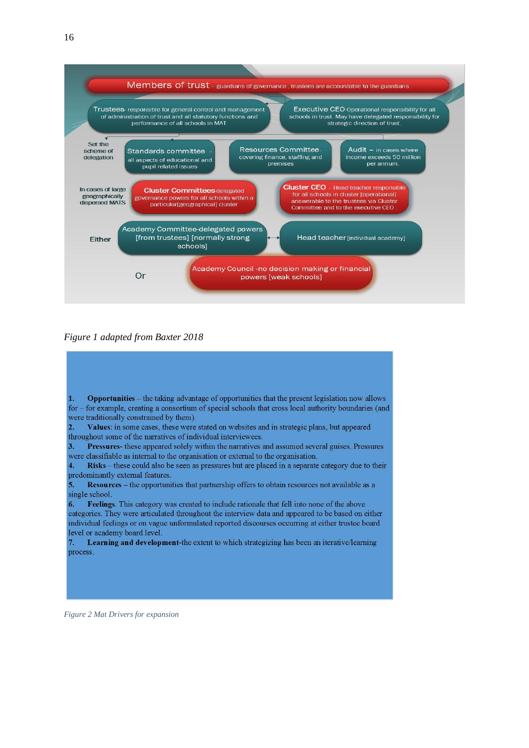

*Figure 1 adapted from Baxter 2018*

Opportunities - the taking advantage of opportunities that the present legislation now allows  $1.$ for - for example, creating a consortium of special schools that cross local authority boundaries (and were traditionally constrained by them). Values: in some cases, these were stated on websites and in strategic plans, but appeared  $2.$ throughout some of the narratives of individual interviewees. Pressures- these appeared solely within the narratives and assumed several guises. Pressures  $\overline{3}$ . were classifiable as internal to the organisation or external to the organisation. 4. Risks – these could also be seen as pressures but are placed in a separate category due to their predominantly external features. Resources - the opportunities that partnership offers to obtain resources not available as a 5. single school. Feelings. This category was created to include rationale that fell into none of the above  $6.$ categories. They were articulated throughout the interview data and appeared to be based on either individual feelings or on vague unformulated reported discourses occurring at either trustee board level or academy board level. 7. Learning and development-the extent to which strategizing has been an iterative/learning process

*Figure 2 Mat Drivers for expansion*